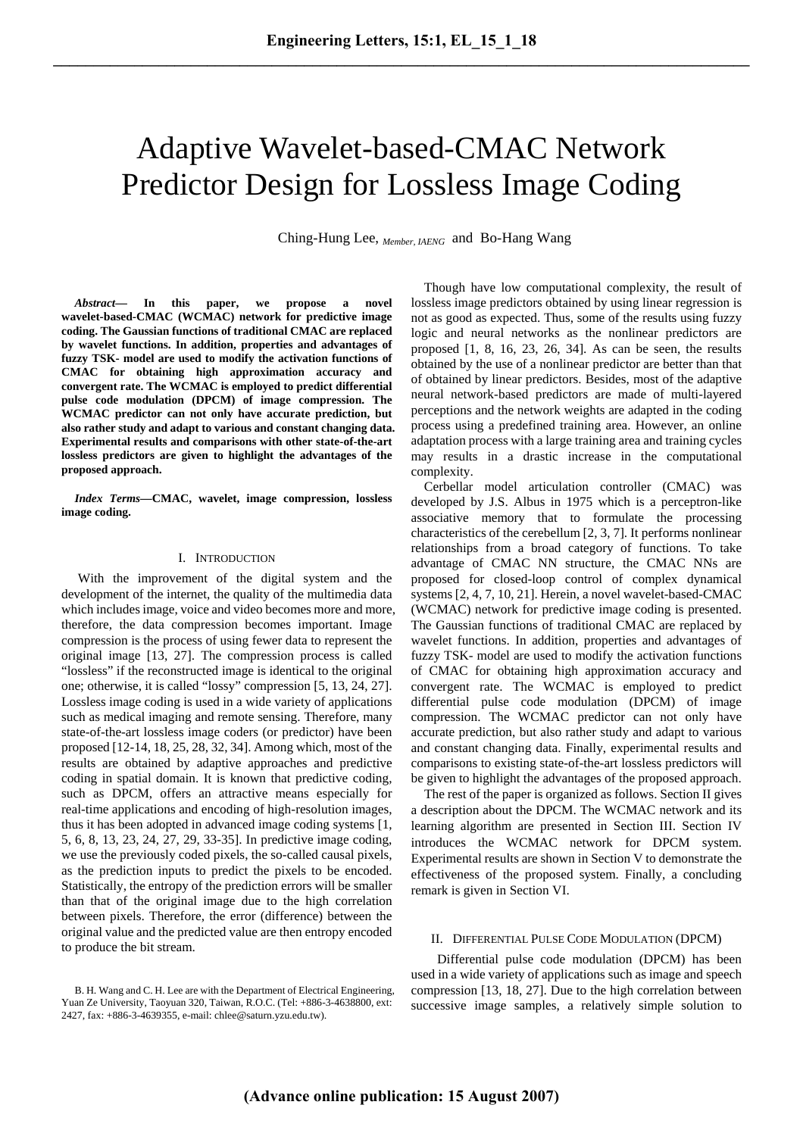# Adaptive Wavelet-based-CMAC Network Predictor Design for Lossless Image Coding

Ching-Hung Lee, *Member, IAENG* and Bo-Hang Wang

*Abstract***— In this paper, we propose a novel wavelet-based-CMAC (WCMAC) network for predictive image coding. The Gaussian functions of traditional CMAC are replaced by wavelet functions. In addition, properties and advantages of fuzzy TSK- model are used to modify the activation functions of CMAC for obtaining high approximation accuracy and convergent rate. The WCMAC is employed to predict differential pulse code modulation (DPCM) of image compression. The WCMAC predictor can not only have accurate prediction, but also rather study and adapt to various and constant changing data. Experimental results and comparisons with other state-of-the-art lossless predictors are given to highlight the advantages of the proposed approach.** 

*Index Terms***—CMAC, wavelet, image compression, lossless image coding.** 

### I. INTRODUCTION

 With the improvement of the digital system and the development of the internet, the quality of the multimedia data which includes image, voice and video becomes more and more, therefore, the data compression becomes important. Image compression is the process of using fewer data to represent the original image [13, 27]. The compression process is called "lossless" if the reconstructed image is identical to the original one; otherwise, it is called "lossy" compression [5, 13, 24, 27]. Lossless image coding is used in a wide variety of applications such as medical imaging and remote sensing. Therefore, many state-of-the-art lossless image coders (or predictor) have been proposed [12-14, 18, 25, 28, 32, 34]. Among which, most of the results are obtained by adaptive approaches and predictive coding in spatial domain. It is known that predictive coding, such as DPCM, offers an attractive means especially for real-time applications and encoding of high-resolution images, thus it has been adopted in advanced image coding systems [1, 5, 6, 8, 13, 23, 24, 27, 29, 33-35]. In predictive image coding, we use the previously coded pixels, the so-called causal pixels, as the prediction inputs to predict the pixels to be encoded. Statistically, the entropy of the prediction errors will be smaller than that of the original image due to the high correlation between pixels. Therefore, the error (difference) between the original value and the predicted value are then entropy encoded to produce the bit stream.

Though have low computational complexity, the result of lossless image predictors obtained by using linear regression is not as good as expected. Thus, some of the results using fuzzy logic and neural networks as the nonlinear predictors are proposed [1, 8, 16, 23, 26, 34]. As can be seen, the results obtained by the use of a nonlinear predictor are better than that of obtained by linear predictors. Besides, most of the adaptive neural network-based predictors are made of multi-layered perceptions and the network weights are adapted in the coding process using a predefined training area. However, an online adaptation process with a large training area and training cycles may results in a drastic increase in the computational complexity.

Cerbellar model articulation controller (CMAC) was developed by J.S. Albus in 1975 which is a perceptron-like associative memory that to formulate the processing characteristics of the cerebellum [2, 3, 7]. It performs nonlinear relationships from a broad category of functions. To take advantage of CMAC NN structure, the CMAC NNs are proposed for closed-loop control of complex dynamical systems [2, 4, 7, 10, 21]. Herein, a novel wavelet-based-CMAC (WCMAC) network for predictive image coding is presented. The Gaussian functions of traditional CMAC are replaced by wavelet functions. In addition, properties and advantages of fuzzy TSK- model are used to modify the activation functions of CMAC for obtaining high approximation accuracy and convergent rate. The WCMAC is employed to predict differential pulse code modulation (DPCM) of image compression. The WCMAC predictor can not only have accurate prediction, but also rather study and adapt to various and constant changing data. Finally, experimental results and comparisons to existing state-of-the-art lossless predictors will be given to highlight the advantages of the proposed approach.

The rest of the paper is organized as follows. Section II gives a description about the DPCM. The WCMAC network and its learning algorithm are presented in Section III. Section IV introduces the WCMAC network for DPCM system. Experimental results are shown in Section V to demonstrate the effectiveness of the proposed system. Finally, a concluding remark is given in Section VI.

## II. DIFFERENTIAL PULSE CODE MODULATION (DPCM)

Differential pulse code modulation (DPCM) has been used in a wide variety of applications such as image and speech compression [13, 18, 27]. Due to the high correlation between successive image samples, a relatively simple solution to

B. H. Wang and C. H. Lee are with the Department of Electrical Engineering, Yuan Ze University, Taoyuan 320, Taiwan, R.O.C. (Tel: +886-3-4638800, ext: 2427, fax: +886-3-4639355, e-mail: chlee@saturn.yzu.edu.tw).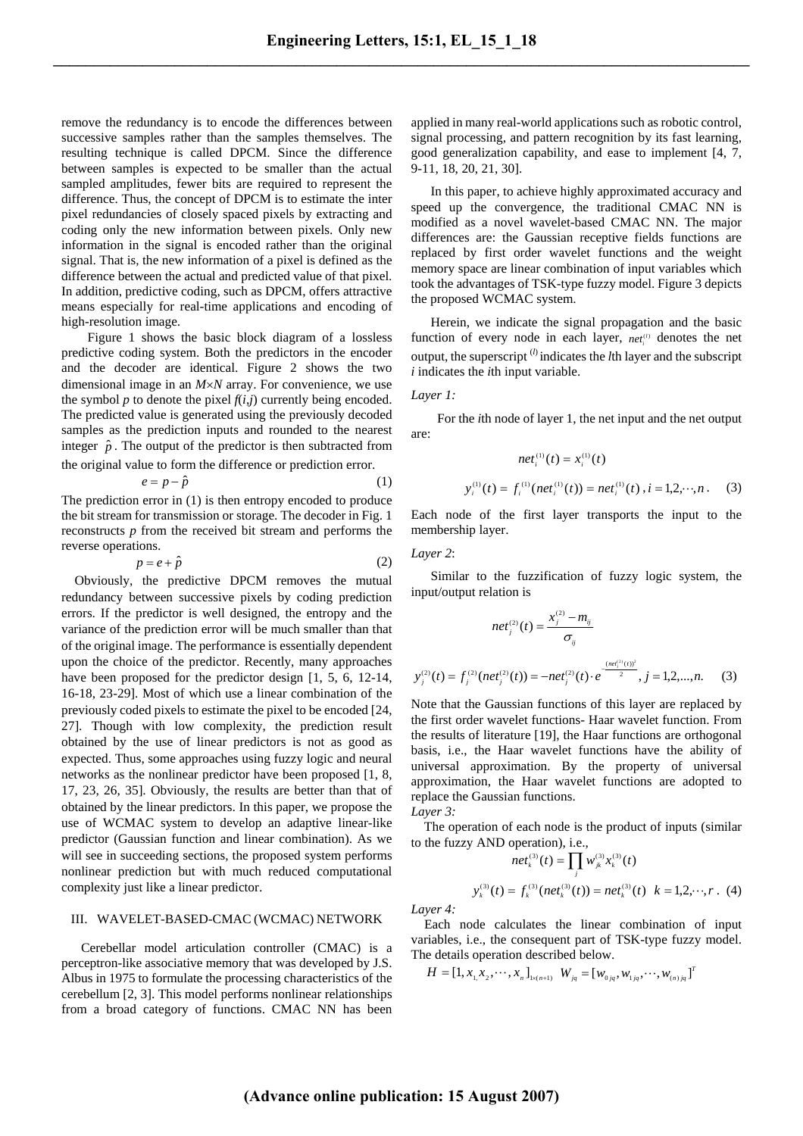remove the redundancy is to encode the differences between successive samples rather than the samples themselves. The resulting technique is called DPCM. Since the difference between samples is expected to be smaller than the actual sampled amplitudes, fewer bits are required to represent the difference. Thus, the concept of DPCM is to estimate the inter pixel redundancies of closely spaced pixels by extracting and coding only the new information between pixels. Only new information in the signal is encoded rather than the original signal. That is, the new information of a pixel is defined as the difference between the actual and predicted value of that pixel. In addition, predictive coding, such as DPCM, offers attractive means especially for real-time applications and encoding of high-resolution image.

Figure 1 shows the basic block diagram of a lossless predictive coding system. Both the predictors in the encoder and the decoder are identical. Figure 2 shows the two dimensional image in an *M*×*N* array. For convenience, we use the symbol  $p$  to denote the pixel  $f(i,j)$  currently being encoded. The predicted value is generated using the previously decoded samples as the prediction inputs and rounded to the nearest integer  $\hat{p}$ . The output of the predictor is then subtracted from the original value to form the difference or prediction error.

$$
e = p - \hat{p} \tag{1}
$$

The prediction error in (1) is then entropy encoded to produce the bit stream for transmission or storage. The decoder in Fig. 1 reconstructs *p* from the received bit stream and performs the reverse operations.

$$
p = e + \hat{p} \tag{2}
$$

Obviously, the predictive DPCM removes the mutual redundancy between successive pixels by coding prediction errors. If the predictor is well designed, the entropy and the variance of the prediction error will be much smaller than that of the original image. The performance is essentially dependent upon the choice of the predictor. Recently, many approaches have been proposed for the predictor design  $[1, 5, 6, 12-14, 16]$ 16-18, 23-29]. Most of which use a linear combination of the previously coded pixels to estimate the pixel to be encoded [24, 27]. Though with low complexity, the prediction result obtained by the use of linear predictors is not as good as expected. Thus, some approaches using fuzzy logic and neural networks as the nonlinear predictor have been proposed [1, 8, 17, 23, 26, 35]. Obviously, the results are better than that of obtained by the linear predictors. In this paper, we propose the use of WCMAC system to develop an adaptive linear-like predictor (Gaussian function and linear combination). As we will see in succeeding sections, the proposed system performs nonlinear prediction but with much reduced computational complexity just like a linear predictor.

#### III. WAVELET-BASED-CMAC (WCMAC) NETWORK

Cerebellar model articulation controller (CMAC) is a perceptron-like associative memory that was developed by J.S. Albus in 1975 to formulate the processing characteristics of the cerebellum [2, 3]. This model performs nonlinear relationships from a broad category of functions. CMAC NN has been applied in many real-world applications such as robotic control, signal processing, and pattern recognition by its fast learning, good generalization capability, and ease to implement [4, 7, 9-11, 18, 20, 21, 30].

In this paper, to achieve highly approximated accuracy and speed up the convergence, the traditional CMAC NN is modified as a novel wavelet-based CMAC NN. The major differences are: the Gaussian receptive fields functions are replaced by first order wavelet functions and the weight memory space are linear combination of input variables which took the advantages of TSK-type fuzzy model. Figure 3 depicts the proposed WCMAC system.

Herein, we indicate the signal propagation and the basic function of every node in each layer,  $net^{(l)}$  denotes the net output, the superscript (*l*) indicates the *l*th layer and the subscript *i* indicates the *i*th input variable.

#### *Layer 1:*

For the *i*th node of layer 1, the net input and the net output are:

$$
net_i^{(1)}(t) = x_i^{(1)}(t)
$$
  

$$
y_i^{(1)}(t) = f_i^{(1)}(net_i^{(1)}(t)) = net_i^{(1)}(t), i = 1,2,\dots,n.
$$
 (3)

Each node of the first layer transports the input to the membership layer.

## *Layer 2*:

Similar to the fuzzification of fuzzy logic system, the input/output relation is

$$
net_j^{(2)}(t) = \frac{x_j^{(2)} - m_{ij}}{\sigma_{ij}}
$$
  

$$
y_j^{(2)}(t) = f_j^{(2)}(net_j^{(2)}(t)) = -net_j^{(2)}(t) \cdot e^{\frac{(net_j^{(2)}(t))^2}{2}}, j = 1, 2, ..., n.
$$
 (3)

Note that the Gaussian functions of this layer are replaced by the first order wavelet functions- Haar wavelet function. From the results of literature [19], the Haar functions are orthogonal basis, i.e., the Haar wavelet functions have the ability of universal approximation. By the property of universal approximation, the Haar wavelet functions are adopted to replace the Gaussian functions.

*Layer 3:* 

The operation of each node is the product of inputs (similar to the fuzzy AND operation), i.e.,

$$
net_k^{(3)}(t) = \prod_j w_{jk}^{(3)} x_k^{(3)}(t)
$$
  

$$
y_k^{(3)}(t) = f_k^{(3)}(net_k^{(3)}(t)) = net_k^{(3)}(t) \quad k = 1, 2, \cdots, r \quad (4)
$$

*Layer 4:* 

Each node calculates the linear combination of input variables, i.e., the consequent part of TSK-type fuzzy model. The details operation described below.

$$
H=[1, x_{_{1\!1}}x_{_2}, \cdots, x_{_n}]_{_{1 \times (n+1)}} \ \ W_{_{jq}}=[w_{_{0jq}}, w_{_{1jq}}, \cdots, w_{_{(n)/jq}}]^T
$$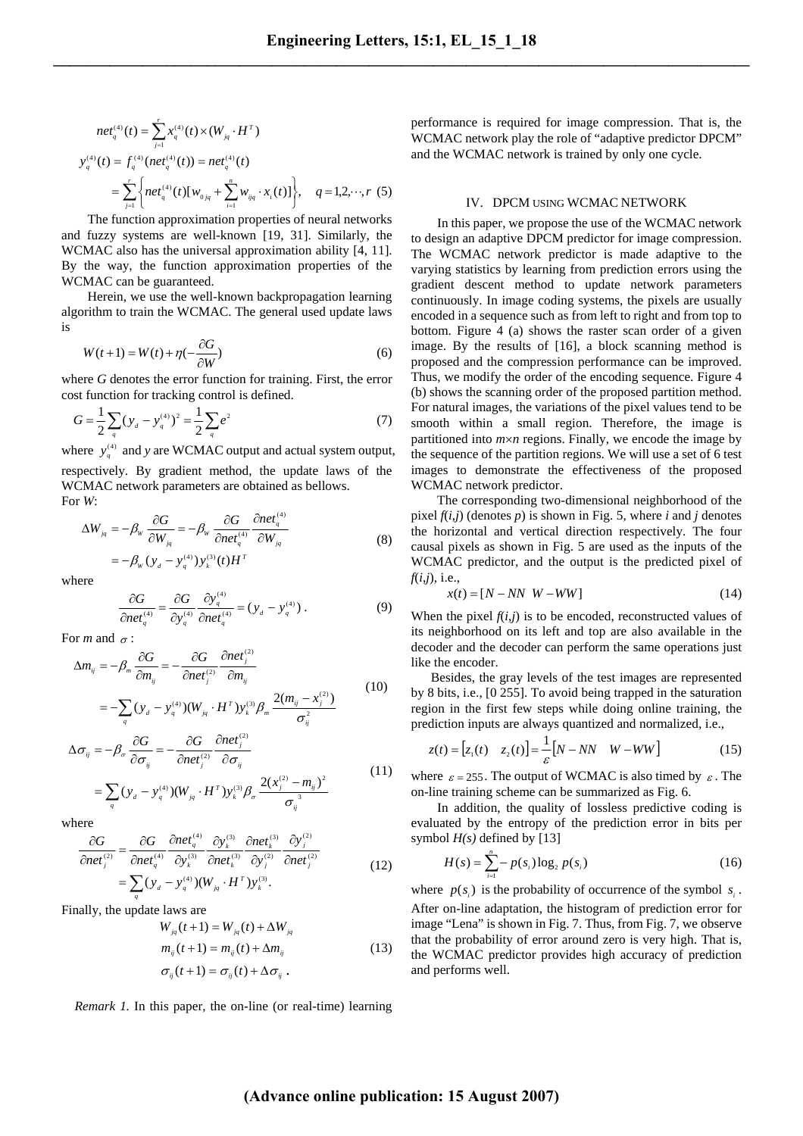$$
net_{q}^{(4)}(t) = \sum_{j=1}^{r} x_{q}^{(4)}(t) \times (W_{jq} \cdot H^{T})
$$
  

$$
y_{q}^{(4)}(t) = f_{q}^{(4)}(net_{q}^{(4)}(t)) = net_{q}^{(4)}(t)
$$
  

$$
= \sum_{j=1}^{r} \left\{ net_{q}^{(4)}(t) [w_{0jq} + \sum_{i=1}^{n} w_{ijq} \cdot x_{i}(t)] \right\}, \quad q = 1, 2, \dots, r \text{ (5)}
$$

The function approximation properties of neural networks and fuzzy systems are well-known [19, 31]. Similarly, the WCMAC also has the universal approximation ability [4, 11]. By the way, the function approximation properties of the WCMAC can be guaranteed.

Herein, we use the well-known backpropagation learning algorithm to train the WCMAC. The general used update laws is

$$
W(t+1) = W(t) + \eta(-\frac{\partial G}{\partial W})
$$
\n(6)

where *G* denotes the error function for training. First, the error cost function for tracking control is defined.

$$
G = \frac{1}{2} \sum_{q} (y_{q} - y_{q}^{(4)})^{2} = \frac{1}{2} \sum_{q} e^{2}
$$
 (7)

where  $y_q^{(4)}$  and *y* are WCMAC output and actual system output, respectively. By gradient method, the update laws of the WCMAC network parameters are obtained as bellows. For *W*:

$$
\Delta W_{jq} = -\beta_w \frac{\partial G}{\partial W_{jq}} = -\beta_w \frac{\partial G}{\partial net_{q}^{(4)}} \frac{\partial net_{q}^{(4)}}{\partial W_{jq}}
$$
  
=  $-\beta_w (y_d - y_{q}^{(4)}) y_{k}^{(3)}(t) H^{T}$  (8)

where

$$
\frac{\partial G}{\partial net_{q}^{(4)}} = \frac{\partial G}{\partial y_{q}^{(4)}} \frac{\partial y_{q}^{(4)}}{\partial net_{q}^{(4)}} = (y_{d} - y_{q}^{(4)}) . \tag{9}
$$

*ij*

For *m* and  $\sigma$  :

$$
\Delta m_{ij} = -\beta_m \frac{\partial G}{\partial m_{ij}} = -\frac{\partial G}{\partial net_j^{(2)}} \frac{\partial net_j^{(2)}}{\partial m_{ij}}
$$
  
= 
$$
-\sum_q (y_d - y_q^{(4)}) (W_{jq} \cdot H^T) y_k^{(3)} \beta_m \frac{2(m_{ij} - x_j^{(2)})}{\sigma_n^2}
$$
(10)

$$
\Delta \sigma_{ij} = -\beta_{\sigma} \frac{\partial G}{\partial \sigma_{ij}} = -\frac{\partial G}{\partial net_{j}^{(2)}} \frac{\partial net_{j}^{(2)}}{\partial \sigma_{ij}}
$$
  
= 
$$
\sum_{q} (y_{d} - y_{q}^{(4)}) (W_{jq} \cdot H^{T}) y_{k}^{(3)} \beta_{\sigma} \frac{2(x_{j}^{(2)} - m_{ij})^{2}}{\sigma_{ij}^{3}}
$$
(11)

where

$$
\frac{\partial G}{\partial net_j^{(2)}} = \frac{\partial G}{\partial net_q^{(4)}} \frac{\partial net_q^{(4)}}{\partial y_k^{(3)}} \frac{\partial y_k^{(3)}}{\partial net_k^{(3)}} \frac{\partial net_l^{(3)}}{\partial y_j^{(2)}} \frac{\partial y_j^{(2)}}{\partial net_j^{(2)}} \n= \sum_q (y_d - y_q^{(4)}) (W_{jq} \cdot H^T) y_k^{(3)}.
$$
\n(12)

Finally, the update laws are

$$
W_{jq}(t+1) = W_{jq}(t) + \Delta W_{jq}
$$
  
\n
$$
m_{ij}(t+1) = m_{ij}(t) + \Delta m_{ij}
$$
  
\n
$$
\sigma_{ij}(t+1) = \sigma_{ij}(t) + \Delta \sigma_{ij}
$$
 (13)

*Remark 1.* In this paper, the on-line (or real-time) learning

performance is required for image compression. That is, the WCMAC network play the role of "adaptive predictor DPCM" and the WCMAC network is trained by only one cycle.

#### IV. DPCM USING WCMAC NETWORK

In this paper, we propose the use of the WCMAC network to design an adaptive DPCM predictor for image compression. The WCMAC network predictor is made adaptive to the varying statistics by learning from prediction errors using the gradient descent method to update network parameters continuously. In image coding systems, the pixels are usually encoded in a sequence such as from left to right and from top to bottom. Figure 4 (a) shows the raster scan order of a given image. By the results of [16], a block scanning method is proposed and the compression performance can be improved. Thus, we modify the order of the encoding sequence. Figure 4 (b) shows the scanning order of the proposed partition method. For natural images, the variations of the pixel values tend to be smooth within a small region. Therefore, the image is partitioned into *m*×*n* regions. Finally, we encode the image by the sequence of the partition regions. We will use a set of 6 test images to demonstrate the effectiveness of the proposed WCMAC network predictor.

The corresponding two-dimensional neighborhood of the pixel  $f(i,j)$  (denotes  $p$ ) is shown in Fig. 5, where  $i$  and  $j$  denotes the horizontal and vertical direction respectively. The four causal pixels as shown in Fig. 5 are used as the inputs of the WCMAC predictor, and the output is the predicted pixel of *f*(*i*,*j*), i.e.,

$$
x(t) = [N - NN \ W - WW] \tag{14}
$$

When the pixel  $f(i,j)$  is to be encoded, reconstructed values of its neighborhood on its left and top are also available in the decoder and the decoder can perform the same operations just like the encoder.

 Besides, the gray levels of the test images are represented by 8 bits, i.e., [0 255]. To avoid being trapped in the saturation region in the first few steps while doing online training, the prediction inputs are always quantized and normalized, i.e.,

$$
z(t) = [z_1(t) \quad z_2(t)] = \frac{1}{\varepsilon} [N - NN \quad W - WW]
$$
 (15)

where  $\varepsilon = 255$ . The output of WCMAC is also timed by  $\varepsilon$ . The on-line training scheme can be summarized as Fig. 6.

In addition, the quality of lossless predictive coding is evaluated by the entropy of the prediction error in bits per symbol *H(s)* defined by [13]

$$
H(s) = \sum_{i=1}^{n} -p(s_i) \log_2 p(s_i)
$$
 (16)

where  $p(s_i)$  is the probability of occurrence of the symbol  $s_i$ . After on-line adaptation, the histogram of prediction error for image "Lena" is shown in Fig. 7. Thus, from Fig. 7, we observe that the probability of error around zero is very high. That is, the WCMAC predictor provides high accuracy of prediction and performs well.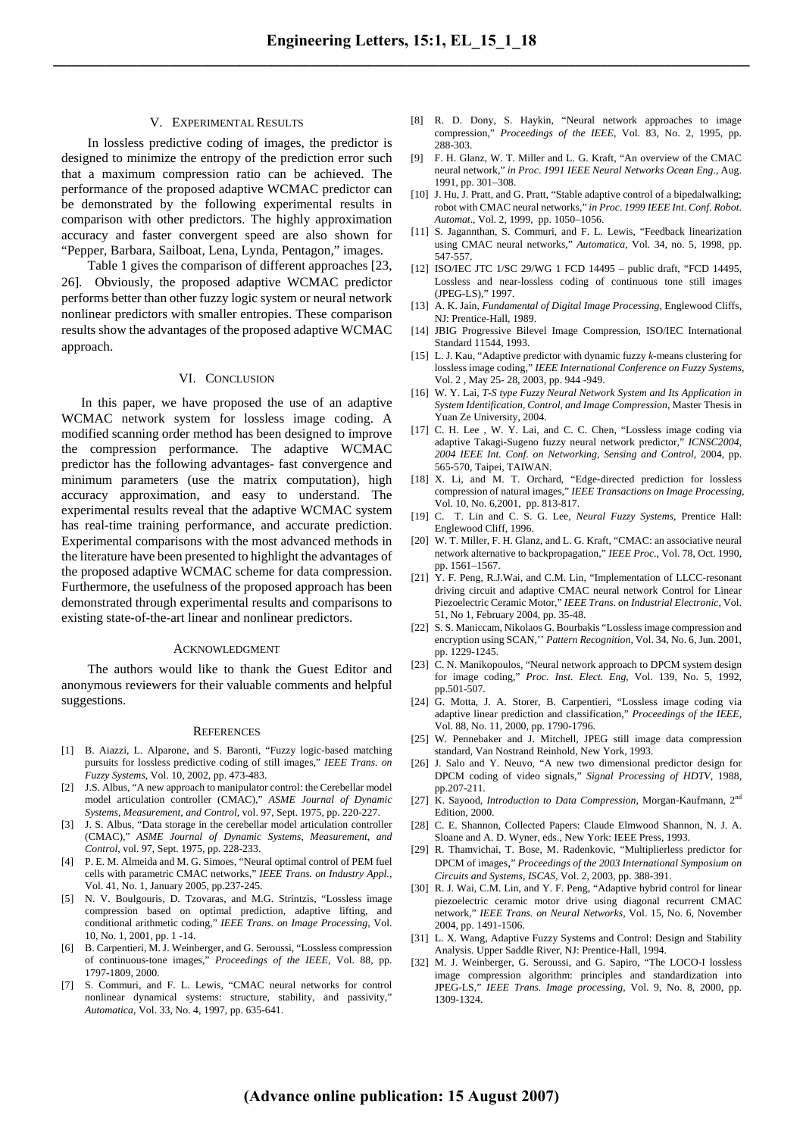#### V. EXPERIMENTAL RESULTS

In lossless predictive coding of images, the predictor is designed to minimize the entropy of the prediction error such that a maximum compression ratio can be achieved. The performance of the proposed adaptive WCMAC predictor can be demonstrated by the following experimental results in comparison with other predictors. The highly approximation accuracy and faster convergent speed are also shown for "Pepper, Barbara, Sailboat, Lena, Lynda, Pentagon," images.

Table 1 gives the comparison of different approaches [23, 26]. Obviously, the proposed adaptive WCMAC predictor performs better than other fuzzy logic system or neural network nonlinear predictors with smaller entropies. These comparison results show the advantages of the proposed adaptive WCMAC approach.

## VI. CONCLUSION

In this paper, we have proposed the use of an adaptive WCMAC network system for lossless image coding. A modified scanning order method has been designed to improve the compression performance. The adaptive WCMAC predictor has the following advantages- fast convergence and minimum parameters (use the matrix computation), high accuracy approximation, and easy to understand. The experimental results reveal that the adaptive WCMAC system has real-time training performance, and accurate prediction. Experimental comparisons with the most advanced methods in the literature have been presented to highlight the advantages of the proposed adaptive WCMAC scheme for data compression. Furthermore, the usefulness of the proposed approach has been demonstrated through experimental results and comparisons to existing state-of-the-art linear and nonlinear predictors.

#### ACKNOWLEDGMENT

The authors would like to thank the Guest Editor and anonymous reviewers for their valuable comments and helpful suggestions.

#### **REFERENCES**

- [1] B. Aiazzi, L. Alparone, and S. Baronti, "Fuzzy logic-based matching pursuits for lossless predictive coding of still images," *IEEE Trans. on Fuzzy Systems*, Vol. 10, 2002, pp. 473-483.
- [2] J.S. Albus, "A new approach to manipulator control: the Cerebellar model model articulation controller (CMAC)," *ASME Journal of Dynamic Systems*, *Measurement*, *and Control*, vol. 97, Sept. 1975, pp. 220-227.
- [3] J. S. Albus, "Data storage in the cerebellar model articulation controller (CMAC)," *ASME Journal of Dynamic Systems*, *Measurement*, *and Control*, vol. 97, Sept. 1975, pp. 228-233.
- [4] P. E. M. Almeida and M. G. Simoes, "Neural optimal control of PEM fuel cells with parametric CMAC networks," *IEEE Trans. on Industry Appl.,* Vol. 41, No. 1, January 2005, pp.237-245.
- [5] N. V. Boulgouris, D. Tzovaras, and M.G. Strintzis, "Lossless image compression based on optimal prediction, adaptive lifting, and conditional arithmetic coding," *IEEE Trans. on Image Processing*, Vol. 10, No. 1, 2001, pp. 1 -14.
- [6] B. Carpentieri, M. J. Weinberger, and G. Seroussi, "Lossless compression of continuous-tone images," *Proceedings of the IEEE*, Vol. 88, pp. 1797-1809, 2000.
- [7] S. Commuri, and F. L. Lewis, "CMAC neural networks for control nonlinear dynamical systems: structure, stability, and passivity," *Automatica*, Vol. 33, No. 4, 1997, pp. 635-641.
- [8] R. D. Dony, S. Haykin, "Neural network approaches to image compression," *Proceedings of the IEEE*, Vol. 83, No. 2, 1995, pp. 288-303.
- [9] F. H. Glanz, W. T. Miller and L. G. Kraft, "An overview of the CMAC neural network," *in Proc*. *1991 IEEE Neural Networks Ocean Eng*., Aug. 1991, pp. 301–308.
- [10] J. Hu, J. Pratt, and G. Pratt, "Stable adaptive control of a bipedalwalking; robot with CMAC neural networks," *in Proc*. *1999 IEEE Int*. *Conf*. *Robot*. *Automat*., Vol. 2, 1999, pp. 1050–1056.
- [11] S. Jagannthan, S. Commuri, and F. L. Lewis, "Feedback linearization using CMAC neural networks," *Automatica*, Vol. 34, no. 5, 1998, pp. 547-557.
- [12] ISO/IEC JTC 1/SC 29/WG 1 FCD 14495 public draft, "FCD 14495, Lossless and near-lossless coding of continuous tone still images (JPEG-LS)," 1997.
- [13] A. K. Jain, *Fundamental of Digital Image Processing*, Englewood Cliffs, NJ: Prentice-Hall, 1989.
- [14] JBIG Progressive Bilevel Image Compression, ISO/IEC International Standard 11544, 1993.
- [15] L. J. Kau, "Adaptive predictor with dynamic fuzzy *k*-means clustering for lossless image coding," *IEEE International Conference on Fuzzy Systems*, Vol. 2 , May 25- 28, 2003, pp. 944 -949.
- [16] W. Y. Lai, *T-S type Fuzzy Neural Network System and Its Application in System Identification, Control, and Image Compression*, Master Thesis in Yuan Ze University, 2004.
- [17] C. H. Lee , W. Y. Lai, and C. C. Chen, "Lossless image coding via adaptive Takagi-Sugeno fuzzy neural network predictor," *ICNSC2004*, *2004 IEEE Int. Conf. on Networking, Sensing and Control*, 2004, pp. 565-570, Taipei, TAIWAN.
- [18] X. Li, and M. T. Orchard, "Edge-directed prediction for lossless compression of natural images," *IEEE Transactions on Image Processing*, Vol. 10, No. 6,2001, pp. 813-817.
- [19] C. T. Lin and C. S. G. Lee, *Neural Fuzzy Systems*, Prentice Hall: Englewood Cliff, 1996.
- [20] W. T. Miller, F. H. Glanz, and L. G. Kraft, "CMAC: an associative neural network alternative to backpropagation," *IEEE Proc*., Vol. 78, Oct. 1990, pp. 1561–1567.
- [21] Y. F. Peng, R.J.Wai, and C.M. Lin, "Implementation of LLCC-resonant driving circuit and adaptive CMAC neural network Control for Linear Piezoelectric Ceramic Motor," *IEEE Trans. on Industrial Electronic,* Vol. 51, No 1, February 2004, pp. 35-48.
- [22] S. S. Maniccam, Nikolaos G. Bourbakis "Lossless image compression and encryption using SCAN,'' *Pattern Recognition*, Vol. 34, No. 6, Jun. 2001, pp. 1229-1245.
- [23] C. N. Manikopoulos, "Neural network approach to DPCM system design for image coding," *Proc. Inst. Elect. Eng,* Vol. 139, No. 5, 1992, pp.501-507.
- [24] G. Motta, J. A. Storer, B. Carpentieri, "Lossless image coding via adaptive linear prediction and classification," *Proceedings of the IEEE*, Vol. 88, No. 11, 2000, pp. 1790-1796.
- [25] W. Pennebaker and J. Mitchell, JPEG still image data compression standard, Van Nostrand Reinhold, New York, 1993.
- [26] J. Salo and Y. Neuvo, "A new two dimensional predictor design for DPCM coding of video signals," *Signal Processing of HDTV*, 1988*,* pp.207-211.
- [27] K. Sayood, *Introduction to Data Compression*, Morgan-Kaufmann, 2nd Edition, 2000.
- [28] C. E. Shannon, Collected Papers: Claude Elmwood Shannon, N. J. A. Sloane and A. D. Wyner, eds., New York: IEEE Press, 1993.
- [29] R. Thamvichai, T. Bose, M. Radenkovic, "Multiplierless predictor for DPCM of images," *Proceedings of the 2003 International Symposium on Circuits and Systems, ISCAS*, Vol. 2, 2003, pp. 388-391.
- [30] R. J. Wai, C.M. Lin, and Y. F. Peng, "Adaptive hybrid control for linear piezoelectric ceramic motor drive using diagonal recurrent CMAC network," *IEEE Trans. on Neural Networks,* Vol. 15, No. 6, November 2004, pp. 1491-1506.
- [31] L. X. Wang, Adaptive Fuzzy Systems and Control: Design and Stability Analysis. Upper Saddle River, NJ: Prentice-Hall, 1994.
- [32] M. J. Weinberger, G. Seroussi, and G. Sapiro, "The LOCO-I lossless image compression algorithm: principles and standardization into JPEG-LS," *IEEE Trans. Image processing,* Vol. 9, No. 8, 2000, pp. 1309-1324.

## **(Advance online publication: 15 August 2007)**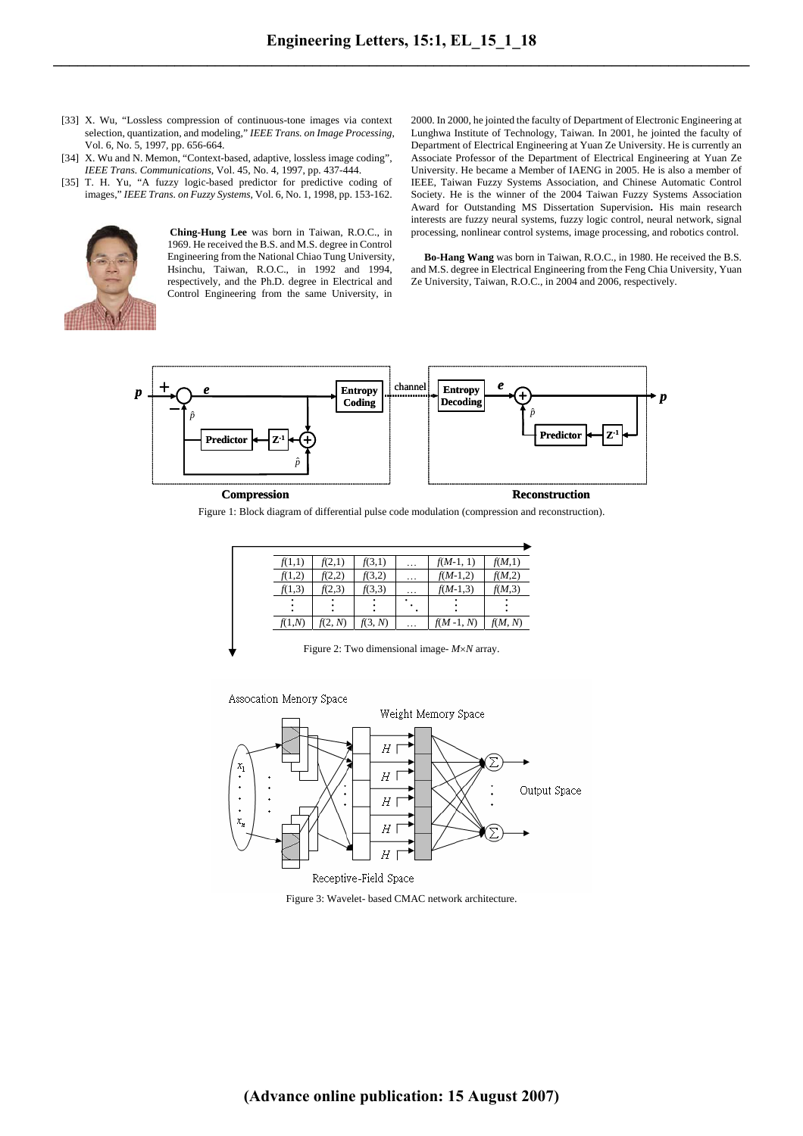- [33] X. Wu, "Lossless compression of continuous-tone images via context selection, quantization, and modeling," *IEEE Trans. on Image Processing*, Vol. 6, No. 5, 1997, pp. 656-664.
- [34] X. Wu and N. Memon, "Context-based, adaptive, lossless image coding", *IEEE Trans. Communications*, Vol. 45, No. 4, 1997, pp. 437-444.
- [35] T. H. Yu, "A fuzzy logic-based predictor for predictive coding of images," *IEEE Trans. on Fuzzy Systems,* Vol. 6, No. 1, 1998, pp. 153-162.



 **Ching-Hung Lee** was born in Taiwan, R.O.C., in 1969. He received the B.S. and M.S. degree in Control Engineering from the National Chiao Tung University, Hsinchu, Taiwan, R.O.C., in 1992 and 1994, respectively, and the Ph.D. degree in Electrical and Control Engineering from the same University, in

2000. In 2000, he jointed the faculty of Department of Electronic Engineering at Lunghwa Institute of Technology, Taiwan. In 2001, he jointed the faculty of Department of Electrical Engineering at Yuan Ze University. He is currently an Associate Professor of the Department of Electrical Engineering at Yuan Ze University. He became a Member of IAENG in 2005. He is also a member of IEEE, Taiwan Fuzzy Systems Association, and Chinese Automatic Control Society. He is the winner of the 2004 Taiwan Fuzzy Systems Association Award for Outstanding MS Dissertation Supervision**.** His main research interests are fuzzy neural systems, fuzzy logic control, neural network, signal processing, nonlinear control systems, image processing, and robotics control.

**Bo-Hang Wang** was born in Taiwan, R.O.C., in 1980. He received the B.S. and M.S. degree in Electrical Engineering from the Feng Chia University, Yuan Ze University, Taiwan, R.O.C., in 2004 and 2006, respectively.



**Compression Reconstruction** 

Figure 1: Block diagram of differential pulse code modulation (compression and reconstruction).

| f(1,1) | f(2,1)  | f(3,1)  | $\cdots$ | $f(M-1, 1)$ | f(M,1)  |
|--------|---------|---------|----------|-------------|---------|
| f(1,2) | (2,2)   | f(3,2)  | $\cdots$ | $f(M-1,2)$  | f(M,2)  |
| f(1,3) | f(2,3)  | f(3,3)  | $\cdots$ | $f(M-1,3)$  | f(M,3)  |
|        |         |         |          |             |         |
| f(1.N) | f(2, N) | f(3, N) | .        | $f(M-1, N)$ | f(M, N) |

Figure 2: Two dimensional image- *M*×*N* array.



Figure 3: Wavelet- based CMAC network architecture.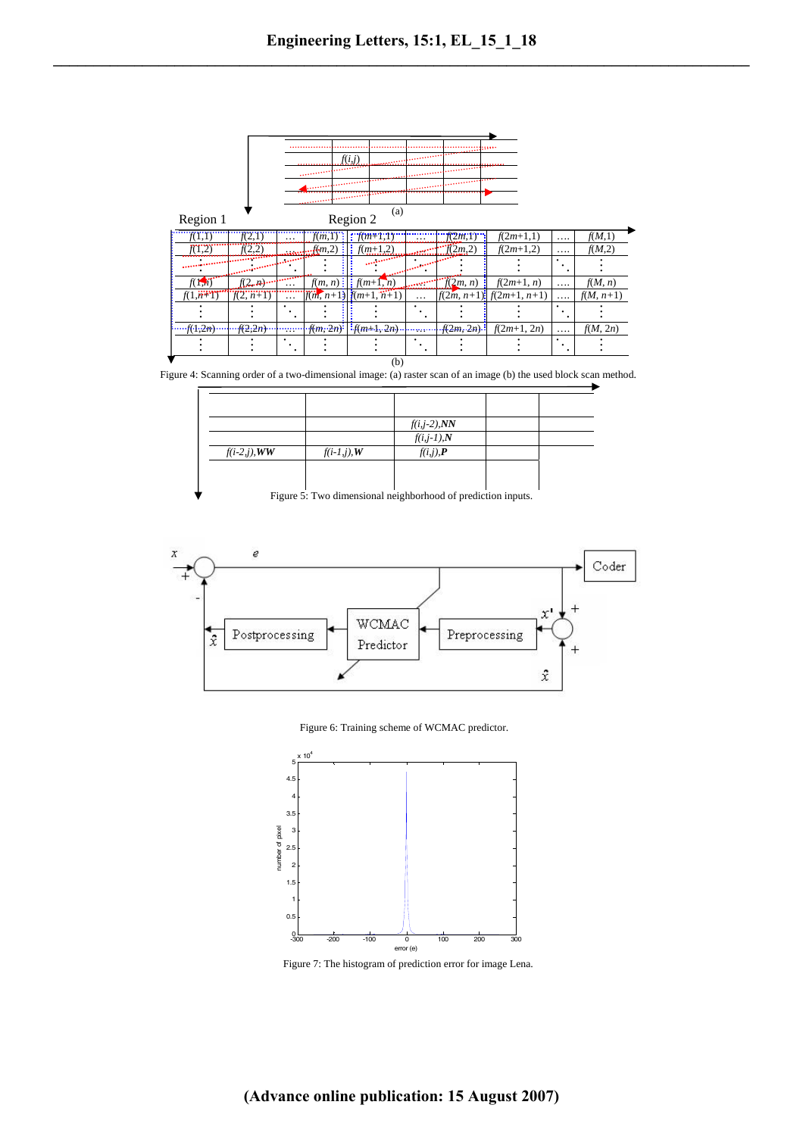

Figure 4: Scanning order of a two-dimensional image: (a) raster scan of an image (b) the used block scan method.

|                 |                | $f(i,j-2),NN$               |  |
|-----------------|----------------|-----------------------------|--|
|                 |                | $f(i,j-1),N$                |  |
| $f(i-2,j)$ , WW | $f(i-1,j)$ , W | $f(i,j)$ , $\boldsymbol{P}$ |  |
|                 |                |                             |  |
|                 |                |                             |  |
|                 |                |                             |  |

Figure 5: Two dimensional neighborhood of prediction inputs.



Figure 6: Training scheme of WCMAC predictor.



Figure 7: The histogram of prediction error for image Lena.

**(Advance online publication: 15 August 2007)**